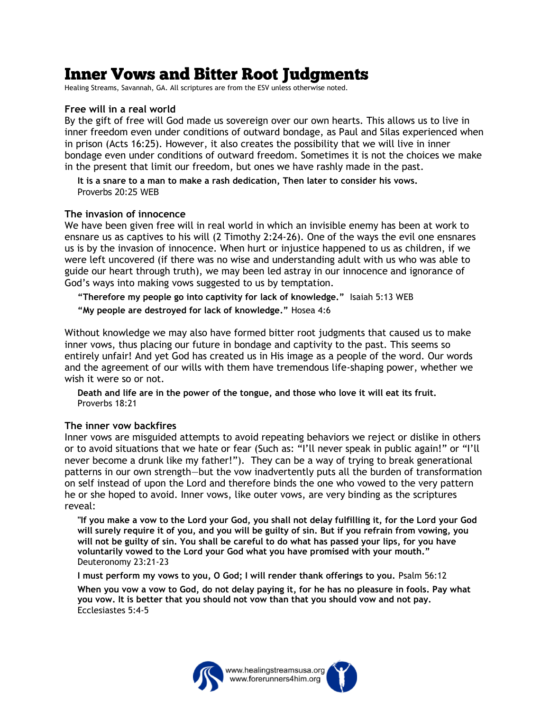## **Inner Vows and Bitter Root Judgments**

Healing Streams, Savannah, GA. All scriptures are from the ESV unless otherwise noted.

## **Free will in a real world**

By the gift of free will God made us sovereign over our own hearts. This allows us to live in inner freedom even under conditions of outward bondage, as Paul and Silas experienced when in prison (Acts 16:25). However, it also creates the possibility that we will live in inner bondage even under conditions of outward freedom. Sometimes it is not the choices we make in the present that limit our freedom, but ones we have rashly made in the past.

**It is a snare to a man to make a rash dedication, Then later to consider his vows.** Proverbs 20:25 WEB

## **The invasion of innocence**

We have been given free will in real world in which an invisible enemy has been at work to ensnare us as captives to his will (2 Timothy 2:24-26). One of the ways the evil one ensnares us is by the invasion of innocence. When hurt or injustice happened to us as children, if we were left uncovered (if there was no wise and understanding adult with us who was able to guide our heart through truth), we may been led astray in our innocence and ignorance of God's ways into making vows suggested to us by temptation.

**"Therefore my people go into captivity for lack of knowledge."** Isaiah 5:13 WEB

**"My people are destroyed for lack of knowledge."** Hosea 4:6

Without knowledge we may also have formed bitter root judgments that caused us to make inner vows, thus placing our future in bondage and captivity to the past. This seems so entirely unfair! And yet God has created us in His image as a people of the word. Our words and the agreement of our wills with them have tremendous life-shaping power, whether we wish it were so or not.

**Death and life are in the power of the tongue, and those who love it will eat its fruit.** Proverbs 18:21

## **The inner vow backfires**

Inner vows are misguided attempts to avoid repeating behaviors we reject or dislike in others or to avoid situations that we hate or fear (Such as: "I'll never speak in public again!" or "I'll never become a drunk like my father!"). They can be a way of trying to break generational patterns in our own strength—but the vow inadvertently puts all the burden of transformation on self instead of upon the Lord and therefore binds the one who vowed to the very pattern he or she hoped to avoid. Inner vows, like outer vows, are very binding as the scriptures reveal:

**"If you make a vow to the Lord your God, you shall not delay fulfilling it, for the Lord your God will surely require it of you, and you will be guilty of sin. But if you refrain from vowing, you will not be guilty of sin. You shall be careful to do what has passed your lips, for you have voluntarily vowed to the Lord your God what you have promised with your mouth."** Deuteronomy 23:21-23

**I must perform my vows to you, O God; I will render thank offerings to you.** Psalm 56:12

**When you vow a vow to God, do not delay paying it, for he has no pleasure in fools. Pay what you vow. It is better that you should not vow than that you should vow and not pay.** Ecclesiastes 5:4-5